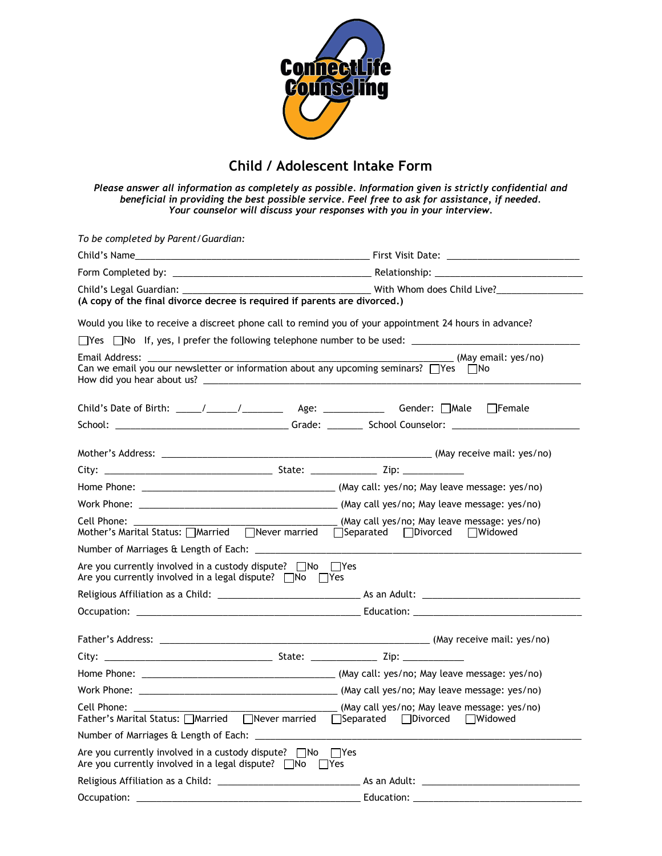

## **Child / Adolescent Intake Form**

*Please answer all information as completely as possible. Information given is strictly confidential and beneficial in providing the best possible service. Feel free to ask for assistance, if needed. Your counselor will discuss your responses with you in your interview.* 

| To be completed by Parent/Guardian:                                                                                                                                                           |                                              |
|-----------------------------------------------------------------------------------------------------------------------------------------------------------------------------------------------|----------------------------------------------|
|                                                                                                                                                                                               |                                              |
|                                                                                                                                                                                               |                                              |
| (A copy of the final divorce decree is required if parents are divorced.)                                                                                                                     |                                              |
| Would you like to receive a discreet phone call to remind you of your appointment 24 hours in advance?                                                                                        |                                              |
|                                                                                                                                                                                               |                                              |
| Can we email you our newsletter or information about any upcoming seminars? $\Box$ Yes $\Box$ No                                                                                              |                                              |
|                                                                                                                                                                                               |                                              |
|                                                                                                                                                                                               |                                              |
|                                                                                                                                                                                               |                                              |
|                                                                                                                                                                                               |                                              |
|                                                                                                                                                                                               |                                              |
|                                                                                                                                                                                               |                                              |
| Cell Phone: __________<br>Mother's Marital Status: Married Mever married Separated Divorced Midowed                                                                                           | (May call yes/no; May leave message: yes/no) |
|                                                                                                                                                                                               |                                              |
| Are you currently involved in a custody dispute? □No □Yes<br>Are you currently involved in a legal dispute? $\Box$ No $\Box$ Yes                                                              |                                              |
|                                                                                                                                                                                               |                                              |
|                                                                                                                                                                                               |                                              |
|                                                                                                                                                                                               |                                              |
|                                                                                                                                                                                               |                                              |
|                                                                                                                                                                                               |                                              |
|                                                                                                                                                                                               |                                              |
| Cell Phone: the contract of the contract of the contract of the contract of the contract of the contract of the<br>Father's Marital Status: Married Mever married Separated Divorced Muidowed | (May call yes/no; May leave message: yes/no) |
| Number of Marriages & Length of Each: Number of American control of the Second Control of Marriages & Length of Each:                                                                         |                                              |
| Are you currently involved in a custody dispute? △ No △ Yes<br>Are you currently involved in a legal dispute? $\Box$ No $\Box$ Yes                                                            |                                              |
|                                                                                                                                                                                               |                                              |
|                                                                                                                                                                                               |                                              |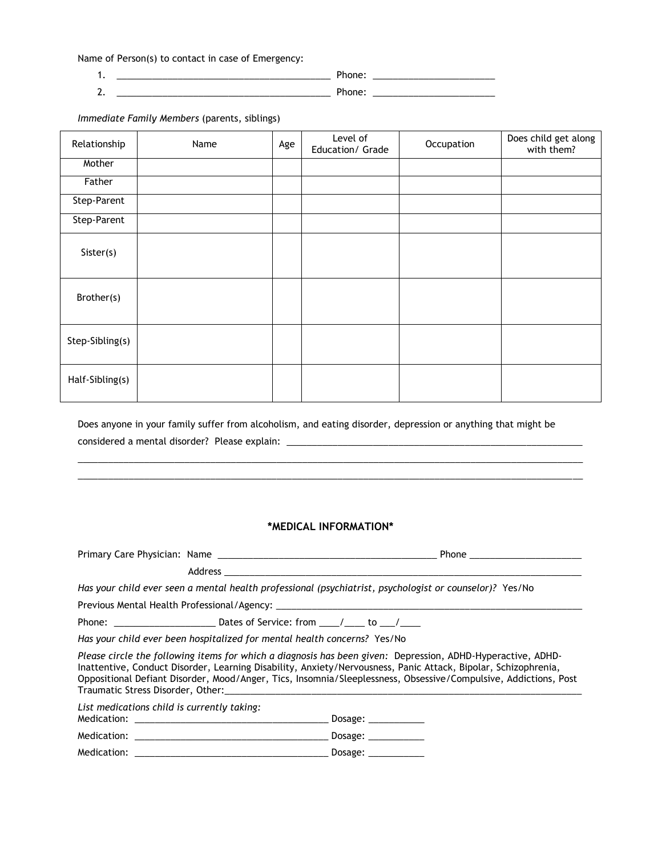Name of Person(s) to contact in case of Emergency:

1. \_\_\_\_\_\_\_\_\_\_\_\_\_\_\_\_\_\_\_\_\_\_\_\_\_\_\_\_\_\_\_\_\_\_\_\_\_\_\_\_\_\_ Phone: \_\_\_\_\_\_\_\_\_\_\_\_\_\_\_\_\_\_\_\_\_\_\_\_

2. \_\_\_\_\_\_\_\_\_\_\_\_\_\_\_\_\_\_\_\_\_\_\_\_\_\_\_\_\_\_\_\_\_\_\_\_\_\_\_\_\_\_ Phone: \_\_\_\_\_\_\_\_\_\_\_\_\_\_\_\_\_\_\_\_\_\_\_\_

*Immediate Family Members* (parents, siblings)

| Relationship    | Name | Age | Level of<br>Education/ Grade | Occupation | Does child get along<br>with them? |
|-----------------|------|-----|------------------------------|------------|------------------------------------|
| Mother          |      |     |                              |            |                                    |
| Father          |      |     |                              |            |                                    |
| Step-Parent     |      |     |                              |            |                                    |
| Step-Parent     |      |     |                              |            |                                    |
| Sister(s)       |      |     |                              |            |                                    |
| Brother(s)      |      |     |                              |            |                                    |
| Step-Sibling(s) |      |     |                              |            |                                    |
| Half-Sibling(s) |      |     |                              |            |                                    |

Does anyone in your family suffer from alcoholism, and eating disorder, depression or anything that might be considered a mental disorder? Please explain: \_\_\_\_\_\_\_\_\_\_\_\_\_\_\_\_\_\_\_\_\_\_\_\_\_\_\_\_\_\_\_\_\_\_

## **\*MEDICAL INFORMATION\***

 $\Box$  . The contribution of the contribution of the contribution of the contribution of the contribution of the contribution of the contribution of the contribution of the contribution of the contribution of the contributi  $\Box$  . The contribution of the contribution of the contribution of the contribution of the contribution of the contribution of the contribution of the contribution of the contribution of the contribution of the contributi

|                                                                          | Has your child ever seen a mental health professional (psychiatrist, psychologist or counselor)? Yes/No                                                                                                                                                                                                                                          |
|--------------------------------------------------------------------------|--------------------------------------------------------------------------------------------------------------------------------------------------------------------------------------------------------------------------------------------------------------------------------------------------------------------------------------------------|
|                                                                          |                                                                                                                                                                                                                                                                                                                                                  |
|                                                                          |                                                                                                                                                                                                                                                                                                                                                  |
| Has your child ever been hospitalized for mental health concerns? Yes/No |                                                                                                                                                                                                                                                                                                                                                  |
|                                                                          | Please circle the following items for which a diagnosis has been given: Depression, ADHD-Hyperactive, ADHD-<br>Inattentive, Conduct Disorder, Learning Disability, Anxiety/Nervousness, Panic Attack, Bipolar, Schizophrenia,<br>Oppositional Defiant Disorder, Mood/Anger, Tics, Insomnia/Sleeplessness, Obsessive/Compulsive, Addictions, Post |
| List medications child is currently taking:                              |                                                                                                                                                                                                                                                                                                                                                  |
|                                                                          |                                                                                                                                                                                                                                                                                                                                                  |
|                                                                          |                                                                                                                                                                                                                                                                                                                                                  |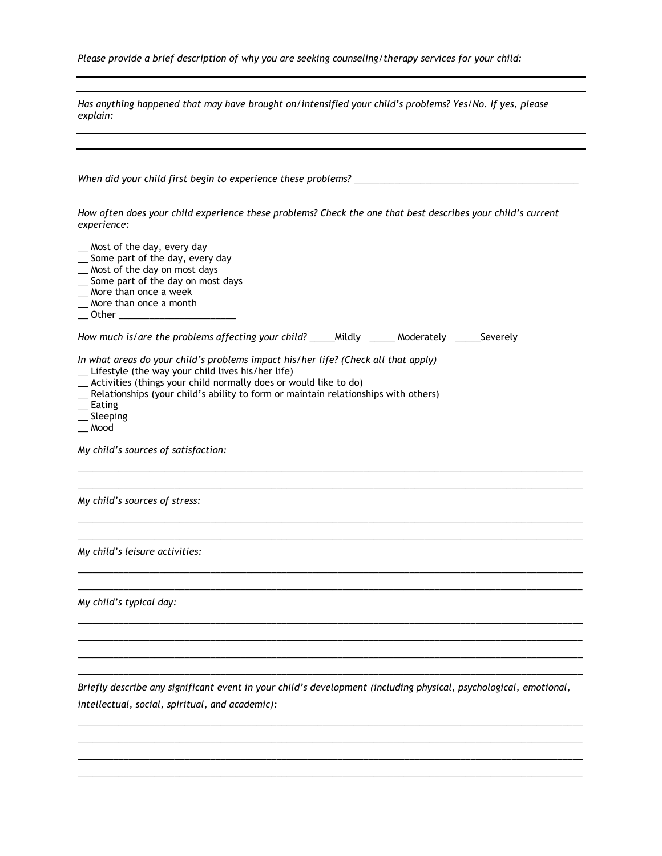*Please provide a brief description of why you are seeking counseling/therapy services for your child:* 

*Has anything happened that may have brought on/intensified your child's problems? Yes/No. If yes, please explain:*

| How often does your child experience these problems? Check the one that best describes your child's current<br>experience:                                                                                                                                                                                                                   |  |  |  |  |  |
|----------------------------------------------------------------------------------------------------------------------------------------------------------------------------------------------------------------------------------------------------------------------------------------------------------------------------------------------|--|--|--|--|--|
| _ Most of the day, every day<br>_ Some part of the day, every day<br>_ Most of the day on most days<br>_ Some part of the day on most days<br>_ More than once a week<br>_ More than once a month                                                                                                                                            |  |  |  |  |  |
| How much is/are the problems affecting your child? ______Mildly _______Moderately ______Severely                                                                                                                                                                                                                                             |  |  |  |  |  |
| In what areas do your child's problems impact his/her life? (Check all that apply)<br>_ Lifestyle (the way your child lives his/her life)<br>_ Activities (things your child normally does or would like to do)<br>_ Relationships (your child's ability to form or maintain relationships with others)<br>$\_$ Eating<br>_ Sleeping<br>Mood |  |  |  |  |  |
| My child's sources of satisfaction:                                                                                                                                                                                                                                                                                                          |  |  |  |  |  |
| My child's sources of stress:                                                                                                                                                                                                                                                                                                                |  |  |  |  |  |
| My child's leisure activities:                                                                                                                                                                                                                                                                                                               |  |  |  |  |  |
| My child's typical day:                                                                                                                                                                                                                                                                                                                      |  |  |  |  |  |
|                                                                                                                                                                                                                                                                                                                                              |  |  |  |  |  |
|                                                                                                                                                                                                                                                                                                                                              |  |  |  |  |  |
| Briefly describe any significant event in your child's development (including physical, psychological, emotional,<br>intellectual, social, spiritual, and academic):                                                                                                                                                                         |  |  |  |  |  |

*\_\_\_\_\_\_\_\_\_\_\_\_\_\_\_\_\_\_\_\_\_\_\_\_\_\_\_\_\_\_\_\_\_\_\_\_\_\_\_\_\_\_\_\_\_\_\_\_\_\_\_\_\_\_\_\_\_\_\_\_\_\_\_\_\_\_\_\_\_\_\_\_\_\_\_\_\_\_\_\_\_\_\_\_\_\_\_\_\_\_\_\_\_\_\_\_\_\_\_ \_\_\_\_\_\_\_\_\_\_\_\_\_\_\_\_\_\_\_\_\_\_\_\_\_\_\_\_\_\_\_\_\_\_\_\_\_\_\_\_\_\_\_\_\_\_\_\_\_\_\_\_\_\_\_\_\_\_\_\_\_\_\_\_\_\_\_\_\_\_\_\_\_\_\_\_\_\_\_\_\_\_\_\_\_\_\_\_\_\_\_\_\_\_\_\_\_\_\_ \_\_\_\_\_\_\_\_\_\_\_\_\_\_\_\_\_\_\_\_\_\_\_\_\_\_\_\_\_\_\_\_\_\_\_\_\_\_\_\_\_\_\_\_\_\_\_\_\_\_\_\_\_\_\_\_\_\_\_\_\_\_\_\_\_\_\_\_\_\_\_\_\_\_\_\_\_\_\_\_\_\_\_\_\_\_\_\_\_\_\_\_\_\_\_\_\_\_\_*